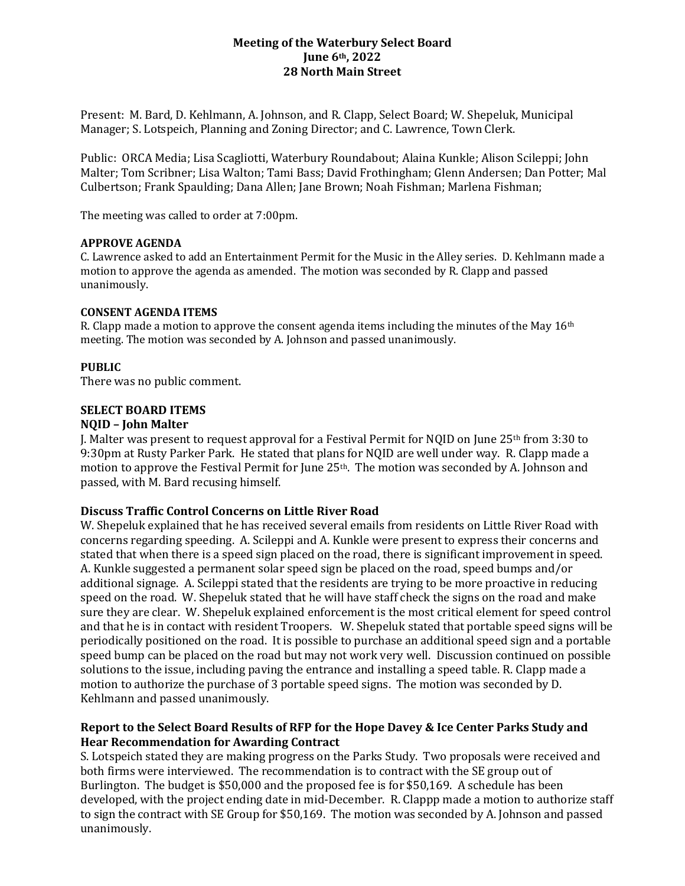### **Meeting of the Waterbury Select Board June 6th, 2022 28 North Main Street**

Present: M. Bard, D. Kehlmann, A. Johnson, and R. Clapp, Select Board; W. Shepeluk, Municipal Manager; S. Lotspeich, Planning and Zoning Director; and C. Lawrence, Town Clerk.

Public: ORCA Media; Lisa Scagliotti, Waterbury Roundabout; Alaina Kunkle; Alison Scileppi; John Malter; Tom Scribner; Lisa Walton; Tami Bass; David Frothingham; Glenn Andersen; Dan Potter; Mal Culbertson; Frank Spaulding; Dana Allen; Jane Brown; Noah Fishman; Marlena Fishman;

The meeting was called to order at 7:00pm.

#### **APPROVE AGENDA**

C. Lawrence asked to add an Entertainment Permit for the Music in the Alley series. D. Kehlmann made a motion to approve the agenda as amended. The motion was seconded by R. Clapp and passed unanimously.

### **CONSENT AGENDA ITEMS**

R. Clapp made a motion to approve the consent agenda items including the minutes of the May 16<sup>th</sup> meeting. The motion was seconded by A. Johnson and passed unanimously.

### **PUBLIC**

There was no public comment.

# **SELECT BOARD ITEMS**

### **NQID – John Malter**

J. Malter was present to request approval for a Festival Permit for NQID on June  $25<sup>th</sup>$  from 3:30 to 9:30pm at Rusty Parker Park. He stated that plans for NQID are well under way. R. Clapp made a motion to approve the Festival Permit for June 25th. The motion was seconded by A. Johnson and passed, with M. Bard recusing himself.

### **Discuss Traffic Control Concerns on Little River Road**

W. Shepeluk explained that he has received several emails from residents on Little River Road with concerns regarding speeding. A. Scileppi and A. Kunkle were present to express their concerns and stated that when there is a speed sign placed on the road, there is significant improvement in speed. A. Kunkle suggested a permanent solar speed sign be placed on the road, speed bumps and/or additional signage. A. Scileppi stated that the residents are trying to be more proactive in reducing speed on the road. W. Shepeluk stated that he will have staff check the signs on the road and make sure they are clear. W. Shepeluk explained enforcement is the most critical element for speed control and that he is in contact with resident Troopers. W. Shepeluk stated that portable speed signs will be periodically positioned on the road. It is possible to purchase an additional speed sign and a portable speed bump can be placed on the road but may not work very well. Discussion continued on possible solutions to the issue, including paving the entrance and installing a speed table. R. Clapp made a motion to authorize the purchase of 3 portable speed signs. The motion was seconded by D. Kehlmann and passed unanimously.

### **Report to the Select Board Results of RFP for the Hope Davey & Ice Center Parks Study and Hear Recommendation for Awarding Contract**

S. Lotspeich stated they are making progress on the Parks Study. Two proposals were received and both firms were interviewed. The recommendation is to contract with the SE group out of Burlington. The budget is \$50,000 and the proposed fee is for \$50,169. A schedule has been developed, with the project ending date in mid-December. R. Clappp made a motion to authorize staff to sign the contract with SE Group for \$50,169. The motion was seconded by A. Johnson and passed unanimously.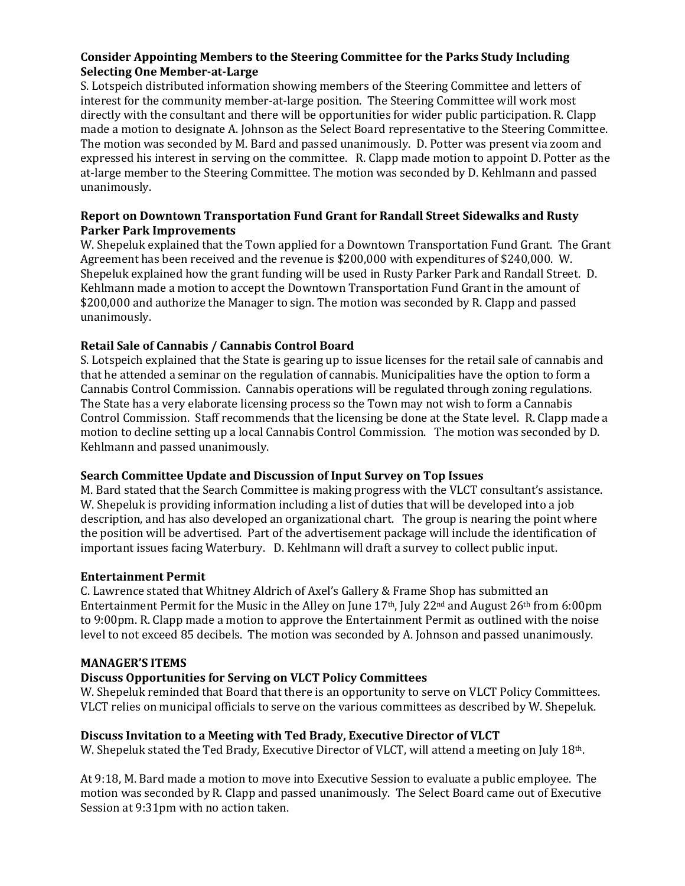### **Consider Appointing Members to the Steering Committee for the Parks Study Including Selecting One Member-at-Large**

S. Lotspeich distributed information showing members of the Steering Committee and letters of interest for the community member-at-large position. The Steering Committee will work most directly with the consultant and there will be opportunities for wider public participation. R. Clapp made a motion to designate A. Johnson as the Select Board representative to the Steering Committee. The motion was seconded by M. Bard and passed unanimously. D. Potter was present via zoom and expressed his interest in serving on the committee. R. Clapp made motion to appoint D. Potter as the at-large member to the Steering Committee. The motion was seconded by D. Kehlmann and passed unanimously.

# **Report on Downtown Transportation Fund Grant for Randall Street Sidewalks and Rusty Parker Park Improvements**

W. Shepeluk explained that the Town applied for a Downtown Transportation Fund Grant. The Grant Agreement has been received and the revenue is \$200,000 with expenditures of \$240,000. W. Shepeluk explained how the grant funding will be used in Rusty Parker Park and Randall Street. D. Kehlmann made a motion to accept the Downtown Transportation Fund Grant in the amount of \$200,000 and authorize the Manager to sign. The motion was seconded by R. Clapp and passed unanimously.

# **Retail Sale of Cannabis / Cannabis Control Board**

S. Lotspeich explained that the State is gearing up to issue licenses for the retail sale of cannabis and that he attended a seminar on the regulation of cannabis. Municipalities have the option to form a Cannabis Control Commission. Cannabis operations will be regulated through zoning regulations. The State has a very elaborate licensing process so the Town may not wish to form a Cannabis Control Commission. Staff recommends that the licensing be done at the State level. R. Clapp made a motion to decline setting up a local Cannabis Control Commission. The motion was seconded by D. Kehlmann and passed unanimously.

# **Search Committee Update and Discussion of Input Survey on Top Issues**

M. Bard stated that the Search Committee is making progress with the VLCT consultant's assistance. W. Shepeluk is providing information including a list of duties that will be developed into a job description, and has also developed an organizational chart. The group is nearing the point where the position will be advertised. Part of the advertisement package will include the identification of important issues facing Waterbury. D. Kehlmann will draft a survey to collect public input.

# **Entertainment Permit**

C. Lawrence stated that Whitney Aldrich of Axel's Gallery & Frame Shop has submitted an Entertainment Permit for the Music in the Alley on June  $17<sup>th</sup>$ , July 22<sup>nd</sup> and August 26<sup>th</sup> from 6:00pm to 9:00pm. R. Clapp made a motion to approve the Entertainment Permit as outlined with the noise level to not exceed 85 decibels. The motion was seconded by A. Johnson and passed unanimously.

# **MANAGER'S ITEMS**

# **Discuss Opportunities for Serving on VLCT Policy Committees**

W. Shepeluk reminded that Board that there is an opportunity to serve on VLCT Policy Committees. VLCT relies on municipal officials to serve on the various committees as described by W. Shepeluk.

# **Discuss Invitation to a Meeting with Ted Brady, Executive Director of VLCT**

W. Shepeluk stated the Ted Brady, Executive Director of VLCT, will attend a meeting on July 18th.

At 9:18, M. Bard made a motion to move into Executive Session to evaluate a public employee. The motion was seconded by R. Clapp and passed unanimously. The Select Board came out of Executive Session at 9:31pm with no action taken.